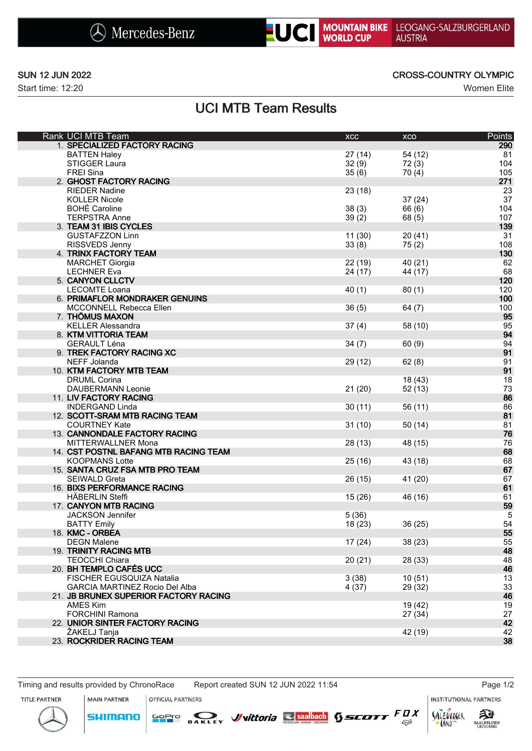



Start time: 12:20 Women Elite

## SUN 12 JUN 2022 CROSS-COUNTRY OLYMPIC

# UCI MTB Team Results

| Rank UCI MTB Team                     | <b>XCC</b> | XCO     | Points |
|---------------------------------------|------------|---------|--------|
| 1. SPECIALIZED FACTORY RACING         |            |         | 290    |
| <b>BATTEN Haley</b>                   | 27(14)     | 54 (12) | 81     |
| <b>STIGGER Laura</b>                  | 32(9)      | 72(3)   | 104    |
| <b>FREI Sina</b>                      | 35(6)      | 70(4)   | 105    |
| 2. GHOST FACTORY RACING               |            |         | 271    |
| <b>RIEDER Nadine</b>                  | 23 (18)    |         | 23     |
| <b>KOLLER Nicole</b>                  |            | 37(24)  | 37     |
| <b>BOHÉ Caroline</b>                  | 38(3)      | 66 (6)  | 104    |
| <b>TERPSTRA Anne</b>                  |            |         | 107    |
|                                       | 39(2)      | 68 (5)  |        |
| 3. TEAM 31 IBIS CYCLES                |            |         | 139    |
| <b>GUSTAFZZON Linn</b>                | 11(30)     | 20(41)  | 31     |
| RISSVEDS Jenny                        | 33(8)      | 75(2)   | 108    |
| 4. TRINX FACTORY TEAM                 |            |         | 130    |
| <b>MARCHET Giorgia</b>                | 22 (19)    | 40 (21) | 62     |
| <b>LECHNER Eva</b>                    | 24 (17)    | 44 (17) | 68     |
| 5. CANYON CLLCTV                      |            |         | 120    |
| <b>LECOMTE Loana</b>                  | 40(1)      | 80(1)   | 120    |
| 6. PRIMAFLOR MONDRAKER GENUINS        |            |         | 100    |
| MCCONNELL Rebecca Ellen               | 36(5)      | 64(7)   | 100    |
| 7. THÖMUS MAXON                       |            |         | 95     |
| <b>KELLER Alessandra</b>              | 37(4)      | 58 (10) | 95     |
| 8. KTM VITTORIA TEAM                  |            |         | 94     |
| <b>GERAULT Léna</b>                   | 34(7)      | 60(9)   | 94     |
| 9. TREK FACTORY RACING XC             |            |         | 91     |
| NEFF Jolanda                          | 29 (12)    | 62(8)   | 91     |
| 10. KTM FACTORY MTB TEAM              |            |         | 91     |
| <b>DRUML Corina</b>                   |            | 18 (43) | 18     |
| <b>DAUBERMANN Leonie</b>              | 21(20)     | 52 (13) | 73     |
| 11. LIV FACTORY RACING                |            |         | 86     |
|                                       |            |         |        |
| <b>INDERGAND Linda</b>                | 30(11)     | 56 (11) | 86     |
| 12. SCOTT-SRAM MTB RACING TEAM        |            |         | 81     |
| <b>COURTNEY Kate</b>                  | 31(10)     | 50 (14) | 81     |
| 13. CANNONDALE FACTORY RACING         |            |         | 76     |
| MITTERWALLNER Mona                    | 28 (13)    | 48 (15) | 76     |
| 14. CST POSTNL BAFANG MTB RACING TEAM |            |         | 68     |
| <b>KOOPMANS Lotte</b>                 | 25 (16)    | 43 (18) | 68     |
| 15. SANTA CRUZ FSA MTB PRO TEAM       |            |         | 67     |
| <b>SEIWALD Greta</b>                  | 26 (15)    | 41 (20) | 67     |
| 16. BIXS PERFORMANCE RACING           |            |         | 61     |
| <b>HÄBERLIN Steffi</b>                | 15(26)     | 46 (16) | 61     |
| 17. CANYON MTB RACING                 |            |         | 59     |
| <b>JACKSON Jennifer</b>               | 5(36)      |         | 5      |
| <b>BATTY Emily</b>                    | 18 (23)    | 36(25)  | 54     |
| 18. KMC - ORBEA                       |            |         | 55     |
| <b>DEGN Malene</b>                    | 17(24)     | 38 (23) | 55     |
| 19. TRINITY RACING MTB                |            |         | 48     |
| <b>TEOCCHI Chiara</b>                 | 20(21)     | 28 (33) | 48     |
| 20. BH TEMPLO CAFÉS UCC               |            |         | 46     |
| FISCHER EGUSQUIZA Natalia             | 3(38)      | 10(51)  | 13     |
| <b>GARCIA MARTINEZ Rocio Del Alba</b> | 4(37)      | 29 (32) | 33     |
| 21. JB BRUNEX SUPERIOR FACTORY RACING |            |         | 46     |
| <b>AMES Kim</b>                       |            | 19 (42) | 19     |
| <b>FORCHINI Ramona</b>                |            | 27(34)  | 27     |
| 22. UNIOR SINTER FACTORY RACING       |            |         | 42     |
| ŽAKELJ Tanja                          |            | 42 (19) | 42     |
| 23. ROCKRIDER RACING TEAM             |            |         | 38     |
|                                       |            |         |        |

SOPIO DAKLEY Vittoria & saabach SSCOTT FUX

Timing and results provided by ChronoRace Report created SUN 12 JUN 2022 11:54 Page 1/2

OFFICIAL PARTNERS

**INSTITUTIONAL PARTNERS** 

TITLE PARTNER



**MAIN PARTNER**